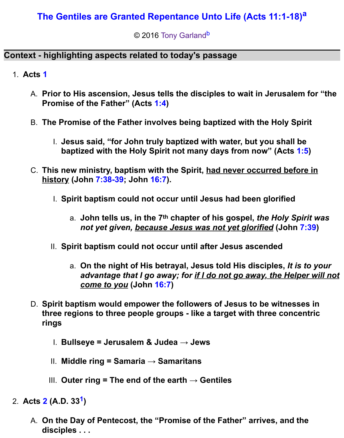# **[The Gentiles are Granted Repentance Unto Life \(Acts 11:1-18\)](http://www.spiritandtruth.org/teaching/Acts_by_Tony_Garland/34_Acts_11_1-18/index.htm)[a](http://www.spiritandtruth.org/teaching/Acts_by_Tony_Garland/34_Acts_11_1-18/20160110_Acts_11_1-18.html?x=x#a2)**

© 2016 [Tony Garland](http://www.spiritandtruth.org/id/tg.htm)<sup>[b](http://www.spiritandtruth.org/teaching/Acts_by_Tony_Garland/34_Acts_11_1-18/20160110_Acts_11_1-18.html?x=x#b2)</sup>

## **Context - highlighting aspects related to today's passage**

- 1. **Acts [1](http://www.spiritandtruth.org/bibles/nasb/b44c001.htm#Acts_C1V1)**
	- A. **Prior to His ascension, Jesus tells the disciples to wait in Jerusalem for "the Promise of the Father" (Acts [1:4\)](http://www.spiritandtruth.org/bibles/nasb/b44c001.htm#Acts_C1V4)**
	- B. **The Promise of the Father involves being baptized with the Holy Spirit**
		- I. **Jesus said, "for John truly baptized with water, but you shall be baptized with the Holy Spirit not many days from now" (Acts [1:5\)](http://www.spiritandtruth.org/bibles/nasb/b44c001.htm#Acts_C1V5)**
	- C. **This new ministry, baptism with the Spirit, had never occurred before in history (John [7:38-39;](http://www.spiritandtruth.org/bibles/nasb/b43c007.htm#John_C7V38) John [16:7\)](http://www.spiritandtruth.org/bibles/nasb/b43c016.htm#John_C16V7).**
		- I. **Spirit baptism could not occur until Jesus had been glorified**
			- a. **John tells us, in the 7th chapter of his gospel,** *the Holy Spirit was not yet given, because Jesus was not yet glorified* **(John [7:39\)](http://www.spiritandtruth.org/bibles/nasb/b43c007.htm#John_C7V39)**
		- II. **Spirit baptism could not occur until after Jesus ascended**
			- a. **On the night of His betrayal, Jesus told His disciples,** *It is to your advantage that I go away; for if I do not go away, the Helper will not come to you* **(John [16:7\)](http://www.spiritandtruth.org/bibles/nasb/b43c016.htm#John_C16V7)**
	- D. **Spirit baptism would empower the followers of Jesus to be witnesses in three regions to three people groups - like a target with three concentric rings**
		- I. **Bullseye = Jerusalem & Judea → Jews**
		- II. **Middle ring = Samaria → Samaritans**
		- III. **Outer ring = The end of the earth → Gentiles**
- 2. **Acts [2](http://www.spiritandtruth.org/bibles/nasb/b44c002.htm#Acts_C2V1) (A.D. 33[1](http://www.spiritandtruth.org/teaching/Acts_by_Tony_Garland/34_Acts_11_1-18/20160110_Acts_11_1-18.html?x=x#below1) )**
	- A. **On the Day of Pentecost, the "Promise of the Father" arrives, and the disciples . . .**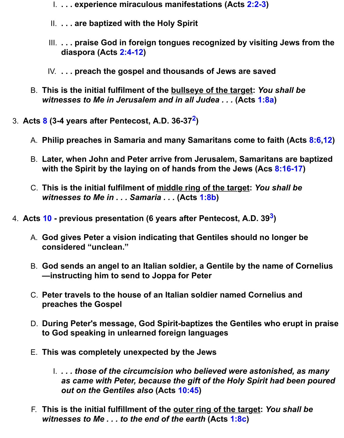- I. **. . . experience miraculous manifestations (Acts [2:2-3\)](http://www.spiritandtruth.org/bibles/nasb/b44c002.htm#Acts_C2V2)**
- II. **. . . are baptized with the Holy Spirit**
- III. **. . . praise God in foreign tongues recognized by visiting Jews from the diaspora (Acts [2:4-12\)](http://www.spiritandtruth.org/bibles/nasb/b44c002.htm#Acts_C2V4)**
- IV. **. . . preach the gospel and thousands of Jews are saved**
- B. **This is the initial fulfilment of the bullseye of the target:** *You shall be witnesses to Me in Jerusalem and in all Judea . . .* **(Acts [1:8a\)](http://www.spiritandtruth.org/bibles/nasb/b44c001.htm#Acts_C1V8)**
- 3. **Acts [8](http://www.spiritandtruth.org/bibles/nasb/b44c008.htm#Acts_C8V1) (3-4 years after Pentecost, A.D. 36-37[2](http://www.spiritandtruth.org/teaching/Acts_by_Tony_Garland/34_Acts_11_1-18/20160110_Acts_11_1-18.html?x=x#below2) )**
	- A. **Philip preaches in Samaria and many Samaritans come to faith (Acts [8:6](http://www.spiritandtruth.org/bibles/nasb/b44c008.htm#Acts_C8V6)[,12\)](http://www.spiritandtruth.org/bibles/nasb/b44c008.htm#Acts_C8V12)**
	- B. **Later, when John and Peter arrive from Jerusalem, Samaritans are baptized with the Spirit by the laying on of hands from the Jews (Acs [8:16-17\)](http://www.spiritandtruth.org/bibles/nasb/b44c008.htm#Acts_C8V16)**
	- C. **This is the initial fulfilment of middle ring of the target:** *You shall be witnesses to Me in . . . Samaria . . .* **(Acts [1:8b\)](http://www.spiritandtruth.org/bibles/nasb/b44c001.htm#Acts_C1V8)**
- 4. **Acts [10](http://www.spiritandtruth.org/bibles/nasb/b44c010.htm#Acts_C10V1)  previous presentation (6 years after Pentecost, A.D. 39[3](http://www.spiritandtruth.org/teaching/Acts_by_Tony_Garland/34_Acts_11_1-18/20160110_Acts_11_1-18.html?x=x#below3) )**
	- A. **God gives Peter a vision indicating that Gentiles should no longer be considered "unclean."**
	- B. **God sends an angel to an Italian soldier, a Gentile by the name of Cornelius —instructing him to send to Joppa for Peter**
	- C. **Peter travels to the house of an Italian soldier named Cornelius and preaches the Gospel**
	- D. **During Peter's message, God Spirit-baptizes the Gentiles who erupt in praise to God speaking in unlearned foreign languages**
	- E. **This was completely unexpected by the Jews**
		- I. *. . . those of the circumcision who believed were astonished, as many as came with Peter, because the gift of the Holy Spirit had been poured out on the Gentiles also* **(Acts [10:45\)](http://www.spiritandtruth.org/bibles/nasb/b44c010.htm#Acts_C10V45)**
	- F. **This is the initial fulfillment of the outer ring of the target:** *You shall be witnesses to Me . . . to the end of the earth* **(Acts [1:8c\)](http://www.spiritandtruth.org/bibles/nasb/b44c001.htm#Acts_C1V8)**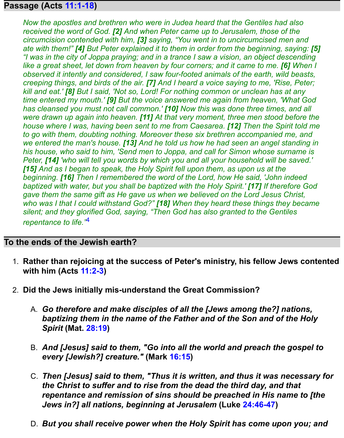### **Passage (Acts [11:1-18\)](http://www.spiritandtruth.org/bibles/nasb/b44c011.htm#Acts_C11V1)**

*Now the apostles and brethren who were in Judea heard that the Gentiles had also received the word of God. [2] And when Peter came up to Jerusalem, those of the circumcision contended with him, [3] saying, "You went in to uncircumcised men and ate with them!" [4] But Peter explained it to them in order from the beginning, saying: [5] "I was in the city of Joppa praying; and in a trance I saw a vision, an object descending like a great sheet, let down from heaven by four corners; and it came to me. [6] When I observed it intently and considered, I saw four-footed animals of the earth, wild beasts, creeping things, and birds of the air. [7] And I heard a voice saying to me, 'Rise, Peter; kill and eat.' [8] But I said, 'Not so, Lord! For nothing common or unclean has at any time entered my mouth.' [9] But the voice answered me again from heaven, 'What God has cleansed you must not call common.' [10] Now this was done three times, and all were drawn up again into heaven. [11] At that very moment, three men stood before the house where I was, having been sent to me from Caesarea. [12] Then the Spirit told me to go with them, doubting nothing. Moreover these six brethren accompanied me, and we entered the man's house. [13] And he told us how he had seen an angel standing in his house, who said to him, 'Send men to Joppa, and call for Simon whose surname is Peter, [14] 'who will tell you words by which you and all your household will be saved.' [15] And as I began to speak, the Holy Spirit fell upon them, as upon us at the beginning. [16] Then I remembered the word of the Lord, how He said, 'John indeed baptized with water, but you shall be baptized with the Holy Spirit.' [17] If therefore God gave them the same gift as He gave us when we believed on the Lord Jesus Christ, who was I that I could withstand God?" [18] When they heard these things they became silent; and they glorified God, saying, "Then God has also granted to the Gentiles repentance to life."*[4](http://www.spiritandtruth.org/teaching/Acts_by_Tony_Garland/34_Acts_11_1-18/20160110_Acts_11_1-18.html?x=x#below4)

#### **To the ends of the Jewish earth?**

- 1. **Rather than rejoicing at the success of Peter's ministry, his fellow Jews contented with him (Acts [11:2-3\)](http://www.spiritandtruth.org/bibles/nasb/b44c011.htm#Acts_C11V2)**
- 2. **Did the Jews initially mis-understand the Great Commission?**
	- A. *Go therefore and make disciples of all the [Jews among the?] nations, baptizing them in the name of the Father and of the Son and of the Holy Spirit* **(Mat. [28:19\)](http://www.spiritandtruth.org/bibles/nasb/b40c028.htm#Mat._C28V19)**
	- B. *And [Jesus] said to them, "Go into all the world and preach the gospel to every [Jewish?] creature."* **(Mark [16:15\)](http://www.spiritandtruth.org/bibles/nasb/b41c016.htm#Mark_C16V15)**
	- C. *Then [Jesus] said to them, "Thus it is written, and thus it was necessary for the Christ to suffer and to rise from the dead the third day, and that repentance and remission of sins should be preached in His name to [the Jews in?] all nations, beginning at Jerusalem* **(Luke [24:46-47\)](http://www.spiritandtruth.org/bibles/nasb/b42c024.htm#Luke_C24V46)**
	- D. *But you shall receive power when the Holy Spirit has come upon you; and*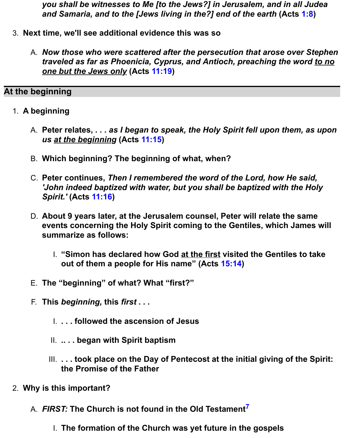*you shall be witnesses to Me [to the Jews?] in Jerusalem, and in all Judea and Samaria, and to the [Jews living in the?] end of the earth* **(Acts [1:8\)](http://www.spiritandtruth.org/bibles/nasb/b44c001.htm#Acts_C1V8)**

- 3. **Next time, we'll see additional evidence this was so**
	- A. *Now those who were scattered after the persecution that arose over Stephen traveled as far as Phoenicia, Cyprus, and Antioch, preaching the word to no one but the Jews only* **(Acts [11:19\)](http://www.spiritandtruth.org/bibles/nasb/b44c011.htm#Acts_C11V19)**

### **At the beginning**

- 1. **A beginning**
	- A. **Peter relates,** *. . . as I began to speak, the Holy Spirit fell upon them, as upon us at the beginning* **(Acts [11:15\)](http://www.spiritandtruth.org/bibles/nasb/b44c011.htm#Acts_C11V15)**
	- B. **Which beginning? The beginning of what, when?**
	- C. **Peter continues,** *Then I remembered the word of the Lord, how He said, 'John indeed baptized with water, but you shall be baptized with the Holy Spirit.'* **(Acts [11:16\)](http://www.spiritandtruth.org/bibles/nasb/b44c011.htm#Acts_C11V16)**
	- D. **About 9 years later, at the Jerusalem counsel, Peter will relate the same events concerning the Holy Spirit coming to the Gentiles, which James will summarize as follows:**
		- I. **"Simon has declared how God at the first visited the Gentiles to take out of them a people for His name" (Acts [15:14\)](http://www.spiritandtruth.org/bibles/nasb/b44c015.htm#Acts_C15V14)**
	- E. **The "beginning" of what? What "first?"**
	- F. **This** *beginning,* **this** *first* **. . .**
		- I. **. . . followed the ascension of Jesus**
		- II. **.. . . began with Spirit baptism**
		- III. **. . . took place on the Day of Pentecost at the initial giving of the Spirit: the Promise of the Father**
- 2. **Why is this important?**
	- A. *FIRST:* **The Church is not found in the Old Testament[7](http://www.spiritandtruth.org/teaching/Acts_by_Tony_Garland/34_Acts_11_1-18/20160110_Acts_11_1-18.html?x=x#below7)**
		- I. **The formation of the Church was yet future in the gospels**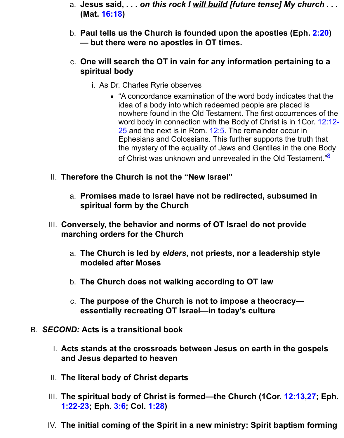- a. **Jesus said,** *. . . on this rock I will build [future tense] My church . . .* **(Mat. [16:18\)](http://www.spiritandtruth.org/bibles/nasb/b40c016.htm#Mat._C16V18)**
- b. **Paul tells us the Church is founded upon the apostles (Eph. [2:20\)](http://www.spiritandtruth.org/bibles/nasb/b49c002.htm#Eph._C2V20) — but there were no apostles in OT times.**
- c. **One will search the OT in vain for any information pertaining to a spiritual body**
	- i. As Dr. Charles Ryrie observes
		- "A concordance examination of the word body indicates that the idea of a body into which redeemed people are placed is nowhere found in the Old Testament. The first occurrences of the [word body in connection with the Body of Christ is in 1Cor. 12:12-](http://www.spiritandtruth.org/bibles/nasb/b46c012.htm#1Cor._C12V12) 25 and the next is in Rom. [12:5.](http://www.spiritandtruth.org/bibles/nasb/b45c012.htm#Rom._C12V5) The remainder occur in Ephesians and Colossians. This further supports the truth that the mystery of the equality of Jews and Gentiles in the one Body of Christ was unknown and unrevealed in the Old Testament."<sup>[8](http://www.spiritandtruth.org/teaching/Acts_by_Tony_Garland/34_Acts_11_1-18/20160110_Acts_11_1-18.html?x=x#below8)</sup>
- II. **Therefore the Church is not the "New Israel"**
	- a. **Promises made to Israel have not be redirected, subsumed in spiritual form by the Church**
- III. **Conversely, the behavior and norms of OT Israel do not provide marching orders for the Church**
	- a. **The Church is led by** *elders***, not priests, nor a leadership style modeled after Moses**
	- b. **The Church does not walking according to OT law**
	- c. **The purpose of the Church is not to impose a theocracy essentially recreating OT Israel—in today's culture**
- B. *SECOND:* **Acts is a transitional book**
	- I. **Acts stands at the crossroads between Jesus on earth in the gospels and Jesus departed to heaven**
	- II. **The literal body of Christ departs**
	- III. **The spiritual body of Christ is formed—the Church (1Cor. [12:13,](http://www.spiritandtruth.org/bibles/nasb/b46c012.htm#1Cor._C12V13)[27;](http://www.spiritandtruth.org/bibles/nasb/b46c012.htm#1Cor._C12V27) Eph. [1:22-23;](http://www.spiritandtruth.org/bibles/nasb/b49c001.htm#Eph._C1V22) Eph. [3:6;](http://www.spiritandtruth.org/bibles/nasb/b49c003.htm#Eph._C3V6) Col. [1:28\)](http://www.spiritandtruth.org/bibles/nasb/b51c001.htm#Col._C1V28)**
	- IV. **The initial coming of the Spirit in a new ministry: Spirit baptism forming**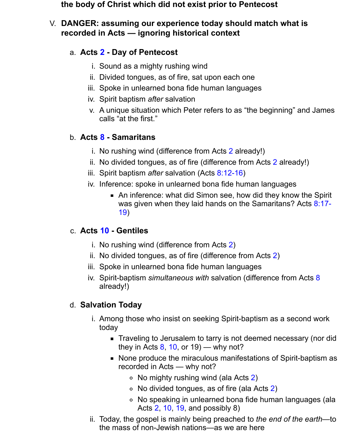#### **the body of Christ which did not exist prior to Pentecost**

### V. **DANGER: assuming our experience today should match what is recorded in Acts — ignoring historical context**

## a. **Acts [2](http://www.spiritandtruth.org/bibles/nasb/b44c002.htm#Acts_C2V1) - Day of Pentecost**

- i. Sound as a mighty rushing wind
- ii. Divided tongues, as of fire, sat upon each one
- iii. Spoke in unlearned bona fide human languages
- iv. Spirit baptism *after* salvation
- v. A unique situation which Peter refers to as "the beginning" and James calls "at the first."

# b. **Acts [8](http://www.spiritandtruth.org/bibles/nasb/b44c008.htm#Acts_C8V1) - Samaritans**

- i. No rushing wind (difference from Acts [2](http://www.spiritandtruth.org/bibles/nasb/b44c002.htm#Acts_C2V1) already!)
- ii. No divided tongues, as of fire (difference from Acts [2](http://www.spiritandtruth.org/bibles/nasb/b44c002.htm#Acts_C2V1) already!)
- iii. Spirit baptism *after* salvation (Acts [8:12-16\)](http://www.spiritandtruth.org/bibles/nasb/b44c008.htm#Acts_C8V12)
- iv. Inference: spoke in unlearned bona fide human languages
	- An inference: what did Simon see, how did they know the Spirit [was given when they laid hands on the Samaritans? Acts 8:17-](http://www.spiritandtruth.org/bibles/nasb/b44c008.htm#Acts_C8V17) 19)

## c. **Acts [10](http://www.spiritandtruth.org/bibles/nasb/b44c010.htm#Acts_C10V1) - Gentiles**

- i. No rushing wind (difference from Acts [2\)](http://www.spiritandtruth.org/bibles/nasb/b44c002.htm#Acts_C2V1)
- ii. No divided tongues, as of fire (difference from Acts [2\)](http://www.spiritandtruth.org/bibles/nasb/b44c002.htm#Acts_C2V1)
- iii. Spoke in unlearned bona fide human languages
- iv. Spirit-baptism *simultaneous with* salvation (difference from Acts [8](http://www.spiritandtruth.org/bibles/nasb/b44c008.htm#Acts_C8V1) already!)

## d. **Salvation Today**

- i. Among those who insist on seeking Spirit-baptism as a second work today
	- Traveling to Jerusalem to tarry is not deemed necessary (nor did they in Acts  $8, 10,$  $8, 10,$  or  $19$ ) — why not?
	- None produce the miraculous manifestations of Spirit-baptism as recorded in Acts — why not?
		- $\circ$  No mighty rushing wind (ala Acts [2\)](http://www.spiritandtruth.org/bibles/nasb/b44c002.htm#Acts_C2V1)
		- $\circ$  No divided tongues, as of fire (ala Acts [2\)](http://www.spiritandtruth.org/bibles/nasb/b44c002.htm#Acts_C2V1)
		- No speaking in unlearned bona fide human languages (ala Acts [2,](http://www.spiritandtruth.org/bibles/nasb/b44c002.htm#Acts_C2V1) [10,](http://www.spiritandtruth.org/bibles/nasb/b44c010.htm#Acts_C10V1) [19,](http://www.spiritandtruth.org/bibles/nasb/b44c019.htm#Acts_C19V1) and possibly 8)
- ii. Today, the gospel is mainly being preached to *the end of the earth*—to the mass of non-Jewish nations—as we are here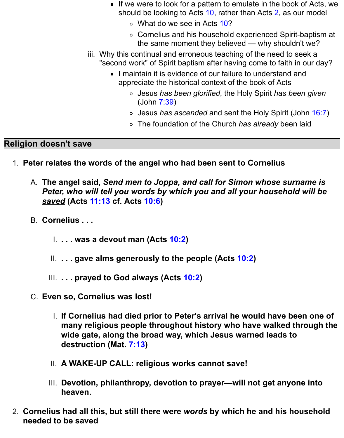- If we were to look for a pattern to emulate in the book of Acts, we should be looking to Acts [10,](http://www.spiritandtruth.org/bibles/nasb/b44c010.htm#Acts_C10V1) rather than Acts [2,](http://www.spiritandtruth.org/bibles/nasb/b44c002.htm#Acts_C2V1) as our model
	- o What do we see in Acts [10?](http://www.spiritandtruth.org/bibles/nasb/b44c010.htm#Acts_C10V1)
	- Cornelius and his household experienced Spirit-baptism at the same moment they believed — why shouldn't we?
- iii. Why this continual and erroneous teaching of the need to seek a "second work" of Spirit baptism after having come to faith in our day?
	- **I** maintain it is evidence of our failure to understand and appreciate the historical context of the book of Acts
		- Jesus *has been glorified*, the Holy Spirit *has been given* (John [7:39\)](http://www.spiritandtruth.org/bibles/nasb/b43c007.htm#John_C7V39)
		- Jesus *has ascended* and sent the Holy Spirit (John [16:7\)](http://www.spiritandtruth.org/bibles/nasb/b43c016.htm#John_C16V7)
		- The foundation of the Church *has already* been laid

## **Religion doesn't save**

- 1. **Peter relates the words of the angel who had been sent to Cornelius**
	- A. **The angel said,** *Send men to Joppa, and call for Simon whose surname is Peter, who will tell you words by which you and all your household will be saved* **(Acts [11:13](http://www.spiritandtruth.org/bibles/nasb/b44c011.htm#Acts_C11V13) cf. Acts [10:6\)](http://www.spiritandtruth.org/bibles/nasb/b44c010.htm#Acts_C10V6)**
	- B. **Cornelius . . .**
		- I. **. . . was a devout man (Acts [10:2\)](http://www.spiritandtruth.org/bibles/nasb/b44c010.htm#Acts_C10V2)**
		- II. **. . . gave alms generously to the people (Acts [10:2\)](http://www.spiritandtruth.org/bibles/nasb/b44c010.htm#Acts_C10V2)**
		- III. **. . . prayed to God always (Acts [10:2\)](http://www.spiritandtruth.org/bibles/nasb/b44c010.htm#Acts_C10V2)**
	- C. **Even so, Cornelius was lost!**
		- I. **If Cornelius had died prior to Peter's arrival he would have been one of many religious people throughout history who have walked through the wide gate, along the broad way, which Jesus warned leads to destruction (Mat. [7:13\)](http://www.spiritandtruth.org/bibles/nasb/b40c007.htm#Mat._C7V13)**
		- II. **A WAKE-UP CALL: religious works cannot save!**
		- III. **Devotion, philanthropy, devotion to prayer—will not get anyone into heaven.**
- 2. **Cornelius had all this, but still there were** *words* **by which he and his household needed to be saved**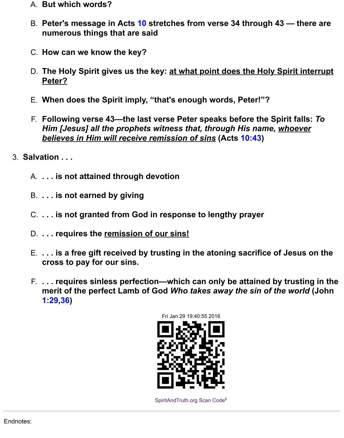- A. **But which words?**
- B. **Peter's message in Acts [10](http://www.spiritandtruth.org/bibles/nasb/b44c010.htm#Acts_C10V1) stretches from verse 34 through 43 there are numerous things that are said**
- C. **How can we know the key?**
- D. **The Holy Spirit gives us the key: at what point does the Holy Spirit interrupt Peter?**
- E. **When does the Spirit imply, "that's enough words, Peter!"?**
- F. **Following verse 43—the last verse Peter speaks before the Spirit falls:** *To Him [Jesus] all the prophets witness that, through His name, whoever believes in Him will receive remission of sins* **(Acts [10:43\)](http://www.spiritandtruth.org/bibles/nasb/b44c010.htm#Acts_C10V43)**
- 3. **Salvation . . .**
	- A. **. . . is not attained through devotion**
	- B. **. . . is not earned by giving**
	- C. **. . . is not granted from God in response to lengthy prayer**
	- D. **. . . requires the remission of our sins!**
	- E. **. . . is a free gift received by trusting in the atoning sacrifice of Jesus on the cross to pay for our sins.**
	- F. **. . . requires sinless perfection—which can only be attained by trusting in the merit of the perfect Lamb of God** *Who takes away the sin of the world* **(John [1:29,](http://www.spiritandtruth.org/bibles/nasb/b43c001.htm#John_C1V29)[36\)](http://www.spiritandtruth.org/bibles/nasb/b43c001.htm#John_C1V36)**



[SpiritAndTruth.org Scan Code](http://www.spiritandtruth.org/)<sup>[c](http://www.spiritandtruth.org/teaching/Acts_by_Tony_Garland/34_Acts_11_1-18/20160110_Acts_11_1-18.html?x=x#c2)</sup>